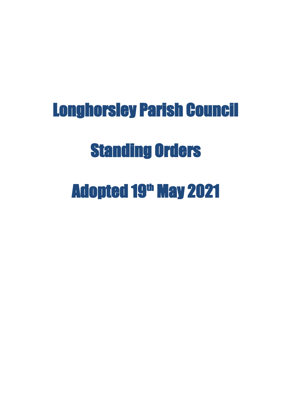# Longhorsley Parish Council Standing Orders Adopted 19<sup>th</sup> May 2021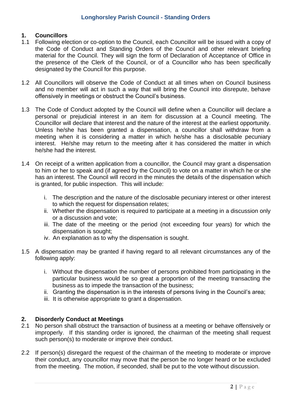# **1. Councillors**

- 1.1 Following election or co-option to the Council, each Councillor will be issued with a copy of the Code of Conduct and Standing Orders of the Council and other relevant briefing material for the Council. They will sign the form of Declaration of Acceptance of Office in the presence of the Clerk of the Council, or of a Councillor who has been specifically designated by the Council for this purpose.
- 1.2 All Councillors will observe the Code of Conduct at all times when on Council business and no member will act in such a way that will bring the Council into disrepute, behave offensively in meetings or obstruct the Council's business.
- 1.3 The Code of Conduct adopted by the Council will define when a Councillor will declare a personal or prejudicial interest in an item for discussion at a Council meeting. The Councillor will declare that interest and the nature of the interest at the earliest opportunity. Unless he/she has been granted a dispensation, a councillor shall withdraw from a meeting when it is considering a matter in which he/she has a disclosable pecuniary interest. He/she may return to the meeting after it has considered the matter in which he/she had the interest.
- 1.4 On receipt of a written application from a councillor, the Council may grant a dispensation to him or her to speak and (if agreed by the Council) to vote on a matter in which he or she has an interest. The Council will record in the minutes the details of the dispensation which is granted, for public inspection. This will include:
	- i. The description and the nature of the disclosable pecuniary interest or other interest to which the request for dispensation relates;
	- ii. Whether the dispensation is required to participate at a meeting in a discussion only or a discussion and vote;
	- iii. The date of the meeting or the period (not exceeding four years) for which the dispensation is sought;
	- iv. An explanation as to why the dispensation is sought.
- 1.5 A dispensation may be granted if having regard to all relevant circumstances any of the following apply:
	- i. Without the dispensation the number of persons prohibited from participating in the particular business would be so great a proportion of the meeting transacting the business as to impede the transaction of the business;
	- ii. Granting the dispensation is in the interests of persons living in the Council's area;
	- iii. It is otherwise appropriate to grant a dispensation.

# **2. Disorderly Conduct at Meetings**

- 2.1 No person shall obstruct the transaction of business at a meeting or behave offensively or improperly. If this standing order is ignored, the chairman of the meeting shall request such person(s) to moderate or improve their conduct.
- 2.2 If person(s) disregard the request of the chairman of the meeting to moderate or improve their conduct, any councillor may move that the person be no longer heard or be excluded from the meeting. The motion, if seconded, shall be put to the vote without discussion.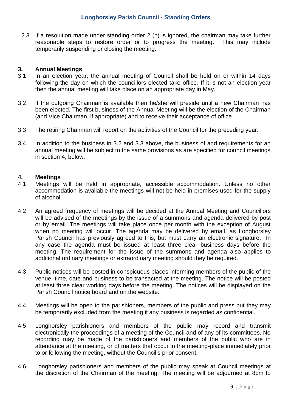2.3 If a resolution made under standing order 2 (b) is ignored, the chairman may take further reasonable steps to restore order or to progress the meeting. This may include temporarily suspending or closing the meeting.

#### **3. Annual Meetings**

- 3.1 In an election year, the annual meeting of Council shall be held on or within 14 days following the day on which the councillors elected take office. If it is not an election year then the annual meeting will take place on an appropriate day in May.
- 3.2 If the outgoing Chairman is available then he/she will preside until a new Chairman has been elected. The first business of the Annual Meeting will be the election of the Chairman (and Vice Chairman, if appropriate) and to receive their acceptance of office.
- 3.3 The retiring Chairman will report on the activities of the Council for the preceding year.
- 3.4 In addition to the business in 3.2 and 3.3 above, the business of and requirements for an annual meeting will be subject to the same provisions as are specified for council meetings in section 4, below.

#### **4. Meetings**

- 4.1 Meetings will be held in appropriate, accessible accommodation. Unless no other accommodation is available the meetings will not be held in premises used for the supply of alcohol.
- 4.2 An agreed frequency of meetings will be decided at the Annual Meeting and Councillors will be advised of the meetings by the issue of a summons and agenda delivered by post or by email. The meetings will take place once per month with the exception of August when no meeting will occur. The agenda may be delivered by email, as Longhorsley Parish Council has previously agreed to this, but must carry an electronic signature. In any case the agenda must be issued at least three clear business days before the meeting. The requirement for the issue of the summons and agenda also applies to additional ordinary meetings or extraordinary meeting should they be required.
- 4.3 Public notices will be posted in conspicuous places informing members of the public of the venue, time, date and business to be transacted at the meeting. The notice will be posted at least three clear working days before the meeting. The notices will be displayed on the Parish Council notice board and on the website.
- 4.4 Meetings will be open to the parishioners, members of the public and press but they may be temporarily excluded from the meeting if any business is regarded as confidential.
- 4.5 Longhorsley parishioners and members of the public may record and transmit electronically the proceedings of a meeting of the Council and of any of its committees. No recording may be made of the parishioners and members of the public who are in attendance at the meeting, or of matters that occur in the meeting-place immediately prior to or following the meeting, without the Council's prior consent.
- 4.6 Longhorsley parishioners and members of the public may speak at Council meetings at the discretion of the Chairman of the meeting. The meeting will be adjourned at 8pm to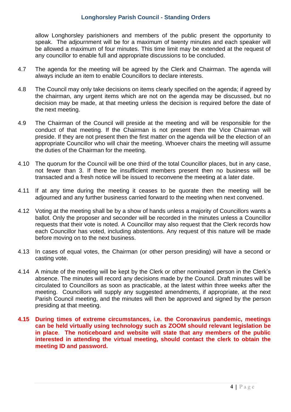allow Longhorsley parishioners and members of the public present the opportunity to speak. The adjournment will be for a maximum of twenty minutes and each speaker will be allowed a maximum of four minutes. This time limit may be extended at the request of any councillor to enable full and appropriate discussions to be concluded.

- 4.7 The agenda for the meeting will be agreed by the Clerk and Chairman. The agenda will always include an item to enable Councillors to declare interests.
- 4.8 The Council may only take decisions on items clearly specified on the agenda; if agreed by the chairman, any urgent items which are not on the agenda may be discussed, but no decision may be made, at that meeting unless the decision is required before the date of the next meeting.
- 4.9 The Chairman of the Council will preside at the meeting and will be responsible for the conduct of that meeting. If the Chairman is not present then the Vice Chairman will preside. If they are not present then the first matter on the agenda will be the election of an appropriate Councillor who will chair the meeting. Whoever chairs the meeting will assume the duties of the Chairman for the meeting.
- 4.10 The quorum for the Council will be one third of the total Councillor places, but in any case, not fewer than 3. If there be insufficient members present then no business will be transacted and a fresh notice will be issued to reconvene the meeting at a later date.
- 4.11 If at any time during the meeting it ceases to be quorate then the meeting will be adjourned and any further business carried forward to the meeting when next convened.
- 4.12 Voting at the meeting shall be by a show of hands unless a majority of Councillors wants a ballot. Only the proposer and seconder will be recorded in the minutes unless a Councillor requests that their vote is noted. A Councillor may also request that the Clerk records how each Councillor has voted, including abstentions. Any request of this nature will be made before moving on to the next business.
- 4.13 In cases of equal votes, the Chairman (or other person presiding) will have a second or casting vote.
- 4.14 A minute of the meeting will be kept by the Clerk or other nominated person in the Clerk's absence. The minutes will record any decisions made by the Council. Draft minutes will be circulated to Councillors as soon as practicable, at the latest within three weeks after the meeting. Councillors will supply any suggested amendments, if appropriate, at the next Parish Council meeting, and the minutes will then be approved and signed by the person presiding at that meeting.
- **4.15 During times of extreme circumstances, i.e. the Coronavirus pandemic, meetings can be held virtually using technology such as ZOOM should relevant legislation be in place**. **The noticeboard and website will state that any members of the public interested in attending the virtual meeting, should contact the clerk to obtain the meeting ID and password.**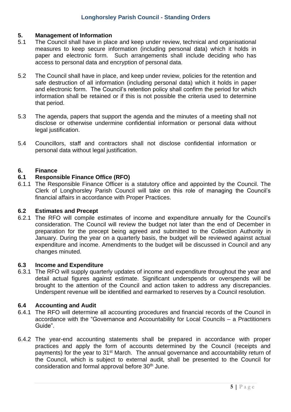# **5. Management of Information**

- 5.1 The Council shall have in place and keep under review, technical and organisational measures to keep secure information (including personal data) which it holds in paper and electronic form. Such arrangements shall include deciding who has access to personal data and encryption of personal data.
- 5.2 The Council shall have in place, and keep under review, policies for the retention and safe destruction of all information (including personal data) which it holds in paper and electronic form. The Council's retention policy shall confirm the period for which information shall be retained or if this is not possible the criteria used to determine that period.
- 5.3 The agenda, papers that support the agenda and the minutes of a meeting shall not disclose or otherwise undermine confidential information or personal data without legal justification.
- 5.4 Councillors, staff and contractors shall not disclose confidential information or personal data without legal justification.

# **6. Finance**

## **6.1 Responsible Finance Office (RFO)**

6.1.1 The Responsible Finance Officer is a statutory office and appointed by the Council. The Clerk of Longhorsley Parish Council will take on this role of managing the Council's financial affairs in accordance with Proper Practices.

## **6.2 Estimates and Precept**

6.2.1 The RFO will compile estimates of income and expenditure annually for the Council's consideration. The Council will review the budget not later than the end of December in preparation for the precept being agreed and submitted to the Collection Authority in January. During the year on a quarterly basis, the budget will be reviewed against actual expenditure and income. Amendments to the budget will be discussed in Council and any changes minuted.

## **6.3 Income and Expenditure**

6.3.1 The RFO will supply quarterly updates of income and expenditure throughout the year and detail actual figures against estimate. Significant underspends or overspends will be brought to the attention of the Council and action taken to address any discrepancies. Underspent revenue will be identified and earmarked to reserves by a Council resolution.

## **6.4 Accounting and Audit**

- 6.4.1 The RFO will determine all accounting procedures and financial records of the Council in accordance with the "Governance and Accountability for Local Councils – a Practitioners Guide".
- 6.4.2 The year-end accounting statements shall be prepared in accordance with proper practices and apply the form of accounts determined by the Council (receipts and payments) for the year to 31<sup>st</sup> March. The annual governance and accountability return of the Council, which is subject to external audit, shall be presented to the Council for consideration and formal approval before 30<sup>th</sup> June.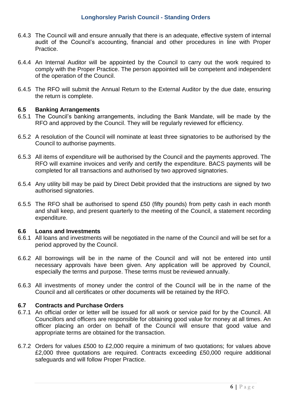## **Longhorsley Parish Council - Standing Orders**

- 6.4.3 The Council will and ensure annually that there is an adequate, effective system of internal audit of the Council's accounting, financial and other procedures in line with Proper Practice.
- 6.4.4 An Internal Auditor will be appointed by the Council to carry out the work required to comply with the Proper Practice. The person appointed will be competent and independent of the operation of the Council.
- 6.4.5 The RFO will submit the Annual Return to the External Auditor by the due date, ensuring the return is complete.

#### **6.5 Banking Arrangements**

- 6.5.1 The Council's banking arrangements, including the Bank Mandate, will be made by the RFO and approved by the Council. They will be regularly reviewed for efficiency.
- 6.5.2 A resolution of the Council will nominate at least three signatories to be authorised by the Council to authorise payments.
- 6.5.3 All items of expenditure will be authorised by the Council and the payments approved. The RFO will examine invoices and verify and certify the expenditure. BACS payments will be completed for all transactions and authorised by two approved signatories.
- 6.5.4 Any utility bill may be paid by Direct Debit provided that the instructions are signed by two authorised signatories.
- 6.5.5 The RFO shall be authorised to spend £50 (fifty pounds) from petty cash in each month and shall keep, and present quarterly to the meeting of the Council, a statement recording expenditure.

#### **6.6 Loans and Investments**

- 6.6.1 All loans and investments will be negotiated in the name of the Council and will be set for a period approved by the Council.
- 6.6.2 All borrowings will be in the name of the Council and will not be entered into until necessary approvals have been given. Any application will be approved by Council, especially the terms and purpose. These terms must be reviewed annually.
- 6.6.3 All investments of money under the control of the Council will be in the name of the Council and all certificates or other documents will be retained by the RFO.

## **6.7 Contracts and Purchase Orders**

- 6.7.1 An official order or letter will be issued for all work or service paid for by the Council. All Councillors and officers are responsible for obtaining good value for money at all times. An officer placing an order on behalf of the Council will ensure that good value and appropriate terms are obtained for the transaction.
- 6.7.2 Orders for values £500 to £2,000 require a minimum of two quotations; for values above £2,000 three quotations are required. Contracts exceeding £50,000 require additional safeguards and will follow Proper Practice.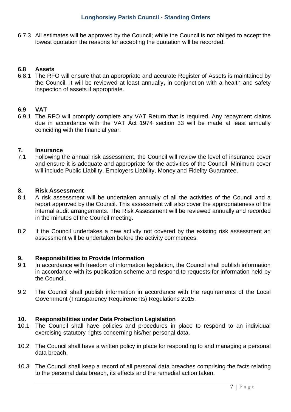6.7.3 All estimates will be approved by the Council; while the Council is not obliged to accept the lowest quotation the reasons for accepting the quotation will be recorded.

# **6.8 Assets**

6.8.1 The RFO will ensure that an appropriate and accurate Register of Assets is maintained by the Council. It will be reviewed at least annually**,** in conjunction with a health and safety inspection of assets if appropriate.

# **6.9 VAT**

6.9.1 The RFO will promptly complete any VAT Return that is required. Any repayment claims due in accordance with the VAT Act 1974 section 33 will be made at least annually coinciding with the financial year.

## **7. Insurance**

7.1 Following the annual risk assessment, the Council will review the level of insurance cover and ensure it is adequate and appropriate for the activities of the Council. Minimum cover will include Public Liability, Employers Liability, Money and Fidelity Guarantee.

#### **8. Risk Assessment**

- 8.1 A risk assessment will be undertaken annually of all the activities of the Council and a report approved by the Council. This assessment will also cover the appropriateness of the internal audit arrangements. The Risk Assessment will be reviewed annually and recorded in the minutes of the Council meeting.
- 8.2 If the Council undertakes a new activity not covered by the existing risk assessment an assessment will be undertaken before the activity commences.

## **9. Responsibilities to Provide Information**

- 9.1 In accordance with freedom of information legislation, the Council shall publish information in accordance with its publication scheme and respond to requests for information held by the Council.
- 9.2 The Council shall publish information in accordance with the requirements of the Local Government (Transparency Requirements) Regulations 2015.

## **10. Responsibilities under Data Protection Legislation**

- 10.1 The Council shall have policies and procedures in place to respond to an individual exercising statutory rights concerning his/her personal data.
- 10.2 The Council shall have a written policy in place for responding to and managing a personal data breach.
- 10.3 The Council shall keep a record of all personal data breaches comprising the facts relating to the personal data breach, its effects and the remedial action taken.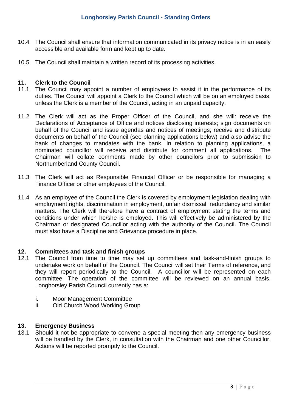- 10.4 The Council shall ensure that information communicated in its privacy notice is in an easily accessible and available form and kept up to date.
- 10.5 The Council shall maintain a written record of its processing activities.

#### **11. Clerk to the Council**

- 11.1 The Council may appoint a number of employees to assist it in the performance of its duties. The Council will appoint a Clerk to the Council which will be on an employed basis, unless the Clerk is a member of the Council, acting in an unpaid capacity.
- 11.2 The Clerk will act as the Proper Officer of the Council, and she will: receive the Declarations of Acceptance of Office and notices disclosing interests; sign documents on behalf of the Council and issue agendas and notices of meetings; receive and distribute documents on behalf of the Council (see planning applications below) and also advise the bank of changes to mandates with the bank. In relation to planning applications, a nominated councillor will receive and distribute for comment all applications. The Chairman will collate comments made by other councilors prior to submission to Northumberland County Council.
- 11.3 The Clerk will act as Responsible Financial Officer or be responsible for managing a Finance Officer or other employees of the Council.
- 11.4 As an employee of the Council the Clerk is covered by employment legislation dealing with employment rights, discrimination in employment, unfair dismissal, redundancy and similar matters. The Clerk will therefore have a contract of employment stating the terms and conditions under which he/she is employed. This will effectively be administered by the Chairman or designated Councillor acting with the authority of the Council. The Council must also have a Discipline and Grievance procedure in place.

#### **12. Committees and task and finish groups**

- 12.1 The Council from time to time may set up committees and task-and-finish groups to undertake work on behalf of the Council. The Council will set their Terms of reference, and they will report periodically to the Council. A councillor will be represented on each committee. The operation of the committee will be reviewed on an annual basis. Longhorsley Parish Council currently has a:
	- i. Moor Management Committee
	- ii. Old Church Wood Working Group

## **13. Emergency Business**

13.1 Should it not be appropriate to convene a special meeting then any emergency business will be handled by the Clerk, in consultation with the Chairman and one other Councillor. Actions will be reported promptly to the Council.